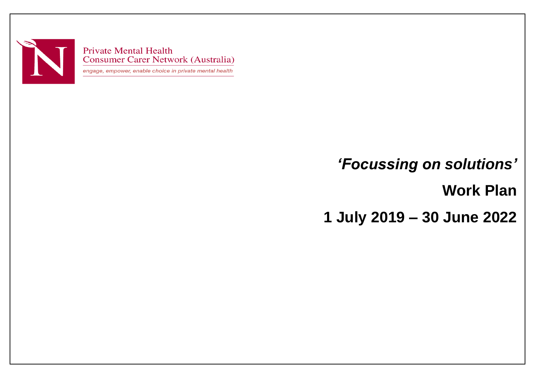

**Private Mental Health Consumer Carer Network (Australia)** 

engage, empower, enable choice in private mental health

## *'Focussing on solutions'*

**Work Plan** 

**1 July 2019 – 30 June 2022**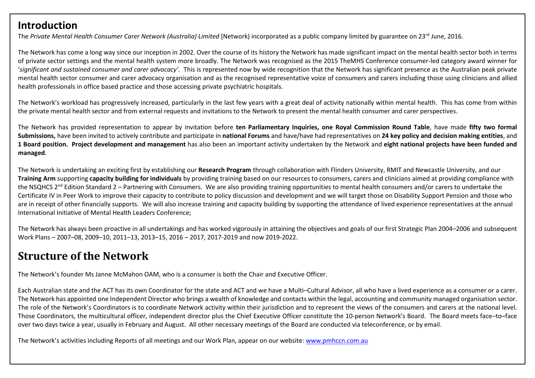## **Introduction**

The *Private Mental Health Consumer Carer Network (Australia) Limited* [Network) incorporated as a public company limited by guarantee on 23<sup>rd</sup> June, 2016.

The Network has come a long way since our inception in 2002. Over the course of its history the Network has made significant impact on the mental health sector both in terms of private sector settings and the mental health system more broadly. The Network was recognised as the 2015 TheMHS Conference consumer-led category award winner for '*significant and sustained consumer and carer advocacy'.* This is represented now by wide recognition that the Network has significant presence as the Australian peak private mental health sector consumer and carer advocacy organisation and as the recognised representative voice of consumers and carers including those using clinicians and allied health professionals in office based practice and those accessing private psychiatric hospitals.

The Network's workload has progressively increased, particularly in the last few years with a great deal of activity nationally within mental health. This has come from within the private mental health sector and from external requests and invitations to the Network to present the mental health consumer and carer perspectives.

The Network has provided representation to appear by invitation before **ten Parliamentary Inquiries, one Royal Commission Round Table**, have made **fifty two formal Submissions,** have been invited to actively contribute and participate in **national Forums** and have/have had representatives on **24 key policy and decision making entities**, and **1 Board position. Project development and management** has also been an important activity undertaken by the Network and **eight national projects have been funded and managed**.

The Network is undertaking an exciting first by establishing our **Research Program** through collaboration with Flinders University, RMIT and Newcastle University, and our **Training Arm** supporting **capacity building for individuals** by providing training based on our resources to consumers, carers and clinicians aimed at providing compliance with the NSQHCS  $2<sup>nd</sup>$  Edition Standard 2 – Partnering with Consumers. We are also providing training opportunities to mental health consumers and/or carers to undertake the Certificate IV in Peer Work to improve their capacity to contribute to policy discussion and development and we will target those on Disability Support Pension and those who are in receipt of other financially supports. We will also increase training and capacity building by supporting the attendance of lived experience representatives at the annual International Initiative of Mental Health Leaders Conference;

The Network has always been proactive in all undertakings and has worked vigorously in attaining the objectives and goals of our first Strategic Plan 2004–2006 and subsequent Work Plans – 2007–08, 2009–10, 2011–13, 2013–15, 2016 – 2017, 2017-2019 and now 2019-2022.

## **Structure of the Network**

The Network's founder Ms Janne McMahon OAM, who is a consumer is both the Chair and Executive Officer.

Each Australian state and the ACT has its own Coordinator for the state and ACT and we have a Multi–Cultural Advisor, all who have a lived experience as a consumer or a carer. The Network has appointed one Independent Director who brings a wealth of knowledge and contacts within the legal, accounting and community managed organisation sector. The role of the Network's Coordinators is to coordinate Network activity within their jurisdiction and to represent the views of the consumers and carers at the national level. Those Coordinators, the multicultural officer, independent director plus the Chief Executive Officer constitute the 10-person Network's Board. The Board meets face–to–face over two days twice a year, usually in February and August. All other necessary meetings of the Board are conducted via teleconference, or by email.

The Network's activities including Reports of all meetings and our Work Plan, appear on our website: [www.pmhccn.com.au](http://www.pmhccn.com.au/)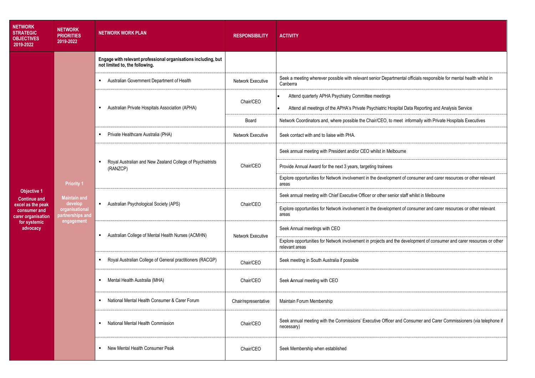| <b>NETWORK</b><br><b>STRATEGIC</b><br><b>OBJECTIVES</b><br>2019-2022                | <b>NETWORK</b><br><b>PRIORITIES</b><br>2019-2022                                                        | <b>NETWORK WORK PLAN</b>                                                                         | <b>RESPONSIBILITY</b>    | <b>ACTIVITY</b>                                                                                                                                           |
|-------------------------------------------------------------------------------------|---------------------------------------------------------------------------------------------------------|--------------------------------------------------------------------------------------------------|--------------------------|-----------------------------------------------------------------------------------------------------------------------------------------------------------|
|                                                                                     |                                                                                                         | Engage with relevant professional organisations including, but<br>not limited to, the following. |                          |                                                                                                                                                           |
|                                                                                     |                                                                                                         | Australian Government Department of Health<br>п.                                                 | Network Executive        | Seek a meeting wherever possible with relevant senior Departmental officials responsible for mental health whilst in<br>Canberra                          |
|                                                                                     |                                                                                                         | Australian Private Hospitals Association (APHA)<br>л.                                            | Chair/CEO                | Attend quarterly APHA Psychiatry Committee meetings<br>Attend all meetings of the APHA's Private Psychiatric Hospital Data Reporting and Analysis Service |
|                                                                                     |                                                                                                         |                                                                                                  | Board                    | Network Coordinators and, where possible the Chair/CEO, to meet informally with Private Hospitals Executives                                              |
|                                                                                     |                                                                                                         | Private Healthcare Australia (PHA)                                                               | <b>Network Executive</b> | Seek contact with and to liaise with PHA.                                                                                                                 |
|                                                                                     | <b>Priority 1</b><br><b>Maintain and</b><br>develop<br>organisational<br>partnerships and<br>engagement | Royal Australian and New Zealand College of Psychiatrists<br>(RANZCP)                            | Chair/CEO                | Seek annual meeting with President and/or CEO whilst in Melbourne                                                                                         |
|                                                                                     |                                                                                                         |                                                                                                  |                          | Provide Annual Award for the next 3 years, targeting trainees                                                                                             |
|                                                                                     |                                                                                                         |                                                                                                  |                          | Explore opportunities for Network involvement in the development of consumer and carer resources or other relevant<br>areas                               |
| <b>Objective 1</b><br><b>Continue and</b>                                           |                                                                                                         | Australian Psychological Society (APS)<br>$\mathbf{r}_\mathrm{c}$                                | Chair/CEO                | Seek annual meeting with Chief Executive Officer or other senior staff whilst in Melbourne                                                                |
| excel as the peak<br>consumer and<br>carer organisation<br>for systemic<br>advocacy |                                                                                                         |                                                                                                  |                          | Explore opportunities for Network involvement in the development of consumer and carer resources or other relevant<br>areas                               |
|                                                                                     |                                                                                                         | Australian College of Mental Health Nurses (ACMHN)<br>л.                                         | <b>Network Executive</b> | Seek Annual meetings with CEO                                                                                                                             |
|                                                                                     |                                                                                                         |                                                                                                  |                          | Explore opportunities for Network involvement in projects and the development of consumer and carer resources or other<br>relevant areas                  |
|                                                                                     |                                                                                                         | Royal Australian College of General practitioners (RACGP)<br>$\blacksquare$                      | Chair/CEO                | Seek meeting in South Australia if possible                                                                                                               |
|                                                                                     |                                                                                                         | Mental Health Australia (MHA)                                                                    | Chair/CEO                | Seek Annual meeting with CEO                                                                                                                              |
|                                                                                     |                                                                                                         | National Mental Health Consumer & Carer Forum                                                    | Chair/representative     | Maintain Forum Membership                                                                                                                                 |
|                                                                                     |                                                                                                         | National Mental Health Commission<br>$\blacksquare$                                              | Chair/CEO                | Seek annual meeting with the Commissions' Executive Officer and Consumer and Carer Commissioners (via telephone if<br>necessary)                          |
|                                                                                     |                                                                                                         | New Mental Health Consumer Peak<br>$\blacksquare$                                                | Chair/CEO                | Seek Membership when established                                                                                                                          |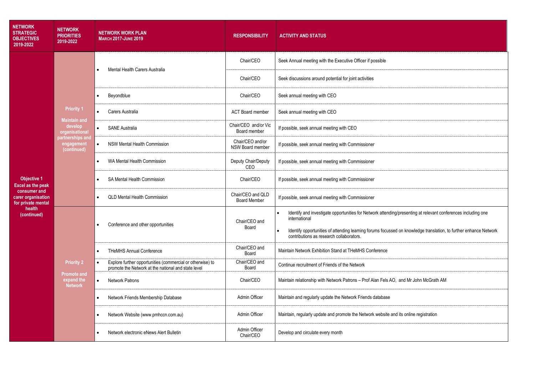| <b>NETWORK</b><br><b>STRATEGIC</b><br><b>OBJECTIVES</b><br>2019-2022                                                                | <b>NETWORK</b><br><b>PRIORITIES</b><br>2019-2022                                                                       | <b>NETWORK WORK PLAN</b><br><b>MARCH 2017-JUNE 2019</b>                                                           | <b>RESPONSIBILITY</b>                    | <b>ACTIVITY AND STATUS</b>                                                                                                                                    |
|-------------------------------------------------------------------------------------------------------------------------------------|------------------------------------------------------------------------------------------------------------------------|-------------------------------------------------------------------------------------------------------------------|------------------------------------------|---------------------------------------------------------------------------------------------------------------------------------------------------------------|
| <b>Objective 1</b><br><b>Excel as the peak</b><br>consumer and<br>carer organisation<br>for private mental<br>health<br>(continued) | <b>Priority 1</b><br><b>Maintain and</b><br>develop<br>organisational<br>partnerships and<br>engagement<br>(continued) | Mental Health Carers Australia                                                                                    | Chair/CEO                                | Seek Annual meeting with the Executive Officer if possible                                                                                                    |
|                                                                                                                                     |                                                                                                                        |                                                                                                                   | Chair/CEO                                | Seek discussions around potential for joint activities                                                                                                        |
|                                                                                                                                     |                                                                                                                        | Beyondblue<br>$\bullet$                                                                                           | Chair/CEO                                | Seek annual meeting with CEO                                                                                                                                  |
|                                                                                                                                     |                                                                                                                        | Carers Australia                                                                                                  | <b>ACT Board member</b>                  | Seek annual meeting with CEO                                                                                                                                  |
|                                                                                                                                     |                                                                                                                        | <b>SANE Australia</b><br>$\bullet$                                                                                | Chair/CEO and/or Vic<br>Board member     | If possible, seek annual meeting with CEO                                                                                                                     |
|                                                                                                                                     |                                                                                                                        | <b>NSW Mental Health Commission</b><br>$\bullet$                                                                  | Chair/CEO and/or<br>NSW Board member     | If possible, seek annual meeting with Commissioner                                                                                                            |
|                                                                                                                                     |                                                                                                                        | WA Mental Health Commission<br>$\bullet$                                                                          | Deputy Chair/Deputy<br>CEO               | If possible, seek annual meeting with Commissioner                                                                                                            |
|                                                                                                                                     |                                                                                                                        | SA Mental Health Commission                                                                                       | Chair/CEO                                | If possible, seek annual meeting with Commissioner                                                                                                            |
|                                                                                                                                     |                                                                                                                        | <b>QLD Mental Health Commission</b>                                                                               | Chair/CEO and QLD<br><b>Board Member</b> | If possible, seek annual meeting with Commissioner                                                                                                            |
|                                                                                                                                     | <b>Priority 2</b><br><b>Promote and</b><br>expand the<br><b>Network</b>                                                | Conference and other opportunities                                                                                | Chair/CEO and<br>Board                   | Identify and investigate opportunities for Network attending/presenting at relevant conferences including one<br>$\bullet$<br>international                   |
|                                                                                                                                     |                                                                                                                        |                                                                                                                   |                                          | Identify opportunities of attending learning forums focussed on knowledge translation, to further enhance Network<br>contributions as research collaborators. |
|                                                                                                                                     |                                                                                                                        | <b>THeMHS Annual Conference</b>                                                                                   | Chair/CEO and<br>Board                   | Maintain Network Exhibition Stand at THeMHS Conference                                                                                                        |
|                                                                                                                                     |                                                                                                                        | Explore further opportunities (commercial or otherwise) to<br>promote the Network at the national and state level | Chair/CEO and<br>Board                   | Continue recruitment of Friends of the Network                                                                                                                |
|                                                                                                                                     |                                                                                                                        | <b>Network Patrons</b><br>$\bullet$                                                                               | Chair/CEO                                | Maintain relationship with Network Patrons - Prof Alan Fels AO, and Mr John McGrath AM                                                                        |
|                                                                                                                                     |                                                                                                                        | Network Friends Membership Database                                                                               | Admin Officer                            | Maintain and regularly update the Network Friends database                                                                                                    |
|                                                                                                                                     |                                                                                                                        | Network Website (www.pmhccn.com.au)                                                                               | Admin Officer                            | Maintain, regularly update and promote the Network website and its online registration                                                                        |
|                                                                                                                                     |                                                                                                                        | Network electronic eNews Alert Bulletin                                                                           | Admin Officer<br>Chair/CEO               | Develop and circulate every month                                                                                                                             |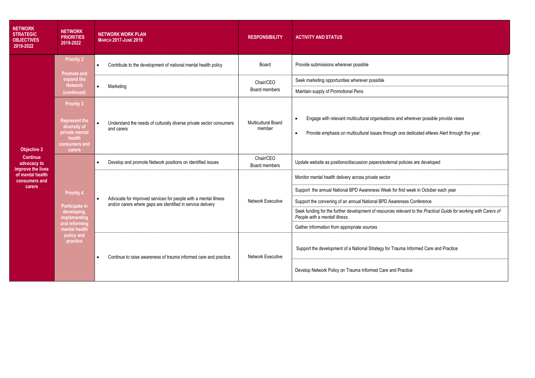| <b>NETWORK</b><br><b>STRATEGIC</b><br><b>OBJECTIVES</b><br>2019-2022 | <b>NETWORK</b><br><b>PRIORITIES</b><br>2019-2022                                                                               | <b>NETWORK WORK PLAN</b><br><b>MARCH 2017-JUNE 2019</b>                                                                        | <b>RESPONSIBILITY</b>                | <b>ACTIVITY AND STATUS</b>                                                                                                                                                                                                                                                                                                                                                                                              |
|----------------------------------------------------------------------|--------------------------------------------------------------------------------------------------------------------------------|--------------------------------------------------------------------------------------------------------------------------------|--------------------------------------|-------------------------------------------------------------------------------------------------------------------------------------------------------------------------------------------------------------------------------------------------------------------------------------------------------------------------------------------------------------------------------------------------------------------------|
|                                                                      | <b>Priority 2</b><br><b>Promote and</b><br>expand the<br><b>Network</b><br>(continued)                                         | Contribute to the development of national mental health policy                                                                 | Board                                | Provide submissions wherever possible                                                                                                                                                                                                                                                                                                                                                                                   |
|                                                                      |                                                                                                                                | Marketing<br>$\bullet$                                                                                                         | Chair/CEO<br>Board members           | Seek marketing opportunities wherever possible<br>Maintain supply of Promotional Pens                                                                                                                                                                                                                                                                                                                                   |
| <b>Objective 2</b>                                                   | <b>Priority 3</b><br><b>Represent the</b><br>diversity of<br>private mental<br>health<br>consumers and<br>carers               | Understand the needs of culturally diverse private sector consumers<br>$\bullet$<br>and carers                                 | <b>Multicultural Board</b><br>member | Engage with relevant multicultural organisations and wherever possible provide views<br>$\bullet$<br>Provide emphasis on multicultural issues through one dedicated eNews Alert through the year.<br>$\bullet$                                                                                                                                                                                                          |
| <b>Continue</b><br>advocacy to<br>improve the lives                  | <b>Priority 4</b><br>Participate in<br>developing,<br>implementing<br>and reforming<br>mental health<br>policy and<br>practice | Develop and promote Network positions on identified issues                                                                     | Chair/CEO<br>Board members           | Update website as positions/discussion papers/external policies are developed                                                                                                                                                                                                                                                                                                                                           |
| of mental health<br>consumers and<br>carers                          |                                                                                                                                | Advocate for improved services for people with a mental illness<br>and/or carers where gaps are identified in service delivery | Network Executive                    | Monitor mental health delivery across private sector<br>Support the annual National BPD Awareness Week for first week in October each year<br>Support the convening of an annual National BPD Awareness Conference<br>Seek funding for the further development of resources relevant to the Practical Guide for working with Carers of<br>People with a mentall illness.<br>Gather information from appropriate sources |
|                                                                      |                                                                                                                                | Continue to raise awareness of trauma informed care and practice                                                               | Network Executive                    | Support the development of a National Strategy for Trauma Informed Care and Practice<br>Develop Network Policy on Trauma Informed Care and Practice                                                                                                                                                                                                                                                                     |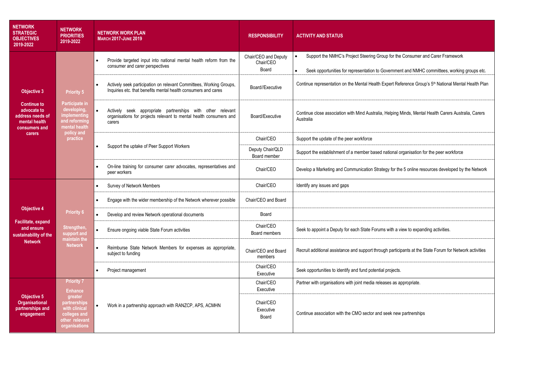| <b>NETWORK</b><br><b>STRATEGIC</b><br><b>OBJECTIVES</b><br>2019-2022                                                    | <b>NETWORK</b><br><b>PRIORITIES</b><br>2019-2022                                                                                      | <b>NETWORK WORK PLAN</b><br><b>MARCH 2017-JUNE 2019</b>                                                                                            | <b>RESPONSIBILITY</b>                      | <b>ACTIVITY AND STATUS</b>                                                                                                                                                                  |
|-------------------------------------------------------------------------------------------------------------------------|---------------------------------------------------------------------------------------------------------------------------------------|----------------------------------------------------------------------------------------------------------------------------------------------------|--------------------------------------------|---------------------------------------------------------------------------------------------------------------------------------------------------------------------------------------------|
| <b>Objective 3</b><br><b>Continue to</b><br>advocate to<br>address needs of<br>mental health<br>consumers and<br>carers | <b>Priority 5</b><br><b>Participate in</b><br>developing,<br>implementing<br>and reforming<br>mental health<br>policy and<br>practice | Provide targeted input into national mental health reform from the<br>consumer and carer perspectives                                              | Chair/CEO and Deputy<br>Chair/CEO<br>Board | Support the NMHC's Project Steering Group for the Consumer and Carer Framework<br>$\bullet$<br>Seek opportunities for representation to Government and NMHC committees, working groups etc. |
|                                                                                                                         |                                                                                                                                       | Actively seek participation on relevant Committees, Working Groups,<br>$\bullet$<br>Inquiries etc. that benefits mental health consumers and cares | Board//Fxecutive                           | Continue representation on the Mental Health Expert Reference Group's 5 <sup>th</sup> National Mental Health Plan                                                                           |
|                                                                                                                         |                                                                                                                                       | Actively seek appropriate partnerships with other relevant<br>organisations for projects relevant to mental health consumers and<br>carers         | Board/Executive                            | Continue close association with Mind Australia, Helping Minds, Mental Health Carers Australia, Carers<br>Australia                                                                          |
|                                                                                                                         |                                                                                                                                       | Support the uptake of Peer Support Workers                                                                                                         | Chair/CEO                                  | Support the update of the peer workforce                                                                                                                                                    |
|                                                                                                                         |                                                                                                                                       |                                                                                                                                                    | Deputy Chair/QLD<br>Board member           | Support the establishment of a member based national organisation for the peer workforce                                                                                                    |
|                                                                                                                         |                                                                                                                                       | On-line training for consumer carer advocates, representatives and<br>peer workers                                                                 | Chair/CEO                                  | Develop a Marketing and Communication Strategy for the 5 online resources developed by the Network                                                                                          |
|                                                                                                                         |                                                                                                                                       | Survey of Network Members                                                                                                                          | Chair/CEO                                  | Identify any issues and gaps                                                                                                                                                                |
| Objective 4<br>Facilitate, expand<br>and ensure<br>sustainability of the<br><b>Network</b>                              | <b>Priority 6</b><br>Strengthen,<br>support and<br>maintain the<br><b>Network</b>                                                     | Engage with the wider membership of the Network wherever possible<br>$\bullet$                                                                     | Chair/CEO and Board                        |                                                                                                                                                                                             |
|                                                                                                                         |                                                                                                                                       | Develop and review Network operational documents                                                                                                   | Board                                      |                                                                                                                                                                                             |
|                                                                                                                         |                                                                                                                                       | Ensure ongoing viable State Forum activities                                                                                                       | Chair/CEO<br>Board members                 | Seek to appoint a Deputy for each State Forums with a view to expanding activities.                                                                                                         |
|                                                                                                                         |                                                                                                                                       | Reimburse State Network Members for expenses as appropriate,<br>subject to funding                                                                 | Chair/CEO and Board<br>members             | Recruit additional assistance and support through participants at the State Forum for Network activities                                                                                    |
|                                                                                                                         |                                                                                                                                       | Project management                                                                                                                                 | Chair/CEO<br>Executive                     | Seek opportunities to identify and fund potential projects.                                                                                                                                 |
| <b>Objective 5</b><br><b>Organisational</b><br>partnerships and<br>engagement                                           | <b>Priority 7</b><br><b>Enhance</b><br>greater<br>partnerships<br>with clinical<br>colleges and<br>other relevant<br>organisations    |                                                                                                                                                    | Chair/CEO<br>Executive                     | Partner with organisations with joint media releases as appropriate.                                                                                                                        |
|                                                                                                                         |                                                                                                                                       | Work in a partnership approach with RANZCP, APS, ACMHN<br>$\bullet$                                                                                | Chair/CEO<br>Executive<br>Board            | Continue association with the CMO sector and seek new partnerships                                                                                                                          |